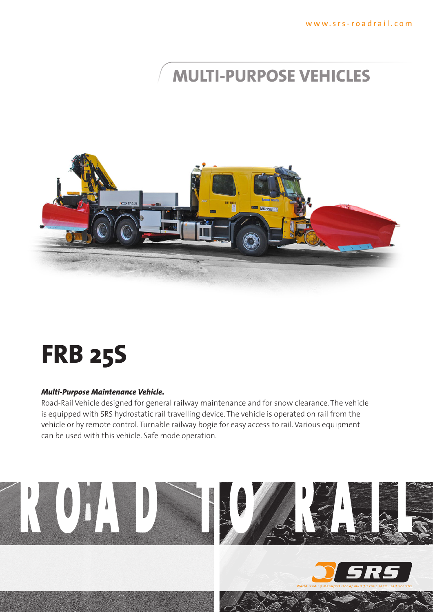## **multi-purpose vehicles**



# **FRB 25S**

### *Multi-Purpose Maintenance Vehicle.*

Road-Rail Vehicle designed for general railway maintenance and for snow clearance. The vehicle is equipped with SRS hydrostatic rail travelling device. The vehicle is operated on rail from the vehicle or by remote control. Turnable railway bogie for easy access to rail. Various equipment can be used with this vehicle. Safe mode operation.